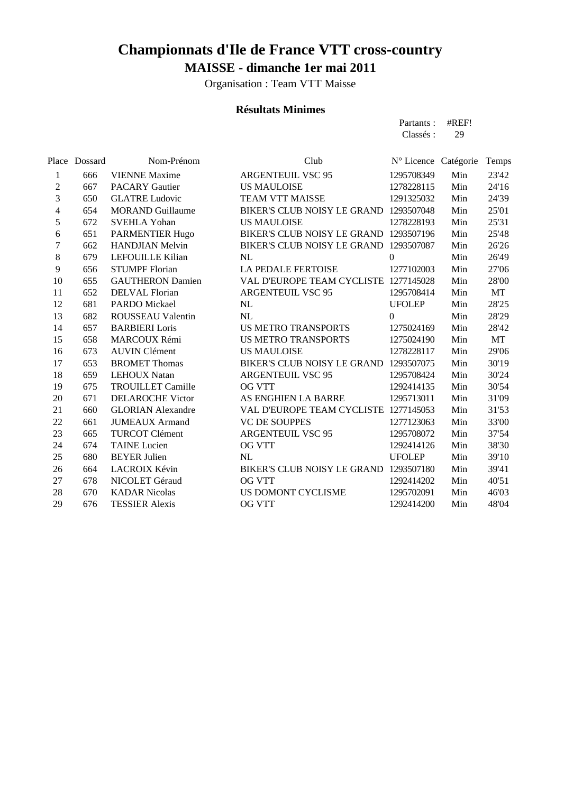Organisation : Team VTT Maisse

#### **Résultats Minimes**

 680 BEYER Julien NL UFOLEP Min 39'10 664 LACROIX Kévin BIKER'S CLUB NOISY LE GRAND 1293507180 Min 39'41 678 NICOLET Géraud OG VTT 1292414202 Min 40'51 670 KADAR Nicolas US DOMONT CYCLISME 1295702091 Min 46'03 676 TESSIER Alexis OG VTT 1292414200 Min 48'04

Place Dossard

|                  |         |                          |                                        | Partants :<br>Classés: | #REF!<br>29 |       |
|------------------|---------|--------------------------|----------------------------------------|------------------------|-------------|-------|
| lace             | Dossard | Nom-Prénom               | Club                                   | N° Licence Catégorie   |             | Temps |
| $\mathbf{1}$     | 666     | <b>VIENNE Maxime</b>     | <b>ARGENTEUIL VSC 95</b>               | 1295708349             | Min         | 23'42 |
| $\boldsymbol{2}$ | 667     | <b>PACARY Gautier</b>    | <b>US MAULOISE</b>                     | 1278228115             | Min         | 24'16 |
| $\mathfrak{Z}$   | 650     | <b>GLATRE Ludovic</b>    | <b>TEAM VTT MAISSE</b>                 | 1291325032             | Min         | 24'39 |
| $\overline{4}$   | 654     | <b>MORAND Guillaume</b>  | <b>BIKER'S CLUB NOISY LE GRAND</b>     | 1293507048             | Min         | 25'01 |
| 5                | 672     | <b>SVEHLA Yohan</b>      | <b>US MAULOISE</b>                     | 1278228193             | Min         | 25'31 |
| 6                | 651     | PARMENTIER Hugo          | BIKER'S CLUB NOISY LE GRAND            | 1293507196             | Min         | 25'48 |
| $\boldsymbol{7}$ | 662     | <b>HANDJIAN Melvin</b>   | BIKER'S CLUB NOISY LE GRAND 1293507087 |                        | Min         | 26'26 |
| $\,8\,$          | 679     | LEFOUILLE Kilian         | NL                                     | $\Omega$               | Min         | 26'49 |
| $\overline{9}$   | 656     | <b>STUMPF Florian</b>    | <b>LA PEDALE FERTOISE</b>              | 1277102003             | Min         | 27'06 |
| 10               | 655     | <b>GAUTHERON Damien</b>  | VAL D'EUROPE TEAM CYCLISTE 1277145028  |                        | Min         | 28'00 |
| 11               | 652     | <b>DELVAL Florian</b>    | <b>ARGENTEUIL VSC 95</b>               | 1295708414             | Min         | МT    |
| 12               | 681     | PARDO Mickael            | NL                                     | <b>UFOLEP</b>          | Min         | 28'25 |
| 13               | 682     | <b>ROUSSEAU Valentin</b> | NL                                     | $\Omega$               | Min         | 28'29 |
| 14               | 657     | <b>BARBIERI</b> Loris    | <b>US METRO TRANSPORTS</b>             | 1275024169             | Min         | 28'42 |
| 15               | 658     | MARCOUX Rémi             | <b>US METRO TRANSPORTS</b>             | 1275024190             | Min         | МT    |
| 16               | 673     | <b>AUVIN Clément</b>     | <b>US MAULOISE</b>                     | 1278228117             | Min         | 29'06 |
| 17               | 653     | <b>BROMET Thomas</b>     | BIKER'S CLUB NOISY LE GRAND            | 1293507075             | Min         | 30'19 |
| 18               | 659     | <b>LEHOUX Natan</b>      | <b>ARGENTEUIL VSC 95</b>               | 1295708424             | Min         | 30'24 |
| 19               | 675     | <b>TROUILLET Camille</b> | OG VTT                                 | 1292414135             | Min         | 30'54 |
| 20               | 671     | <b>DELAROCHE Victor</b>  | AS ENGHIEN LA BARRE                    | 1295713011             | Min         | 31'09 |
| 21               | 660     | <b>GLORIAN Alexandre</b> | VAL D'EUROPE TEAM CYCLISTE 1277145053  |                        | Min         | 31'53 |
| 22               | 661     | <b>JUMEAUX Armand</b>    | <b>VC DE SOUPPES</b>                   | 1277123063             | Min         | 33'00 |
| 23               | 665     | TURCOT Clément           | <b>ARGENTEUIL VSC 95</b>               | 1295708072             | Min         | 37'54 |
| 24               | 674     | <b>TAINE</b> Lucien      | <b>OG VTT</b>                          | 1292414126             | Min         | 38'30 |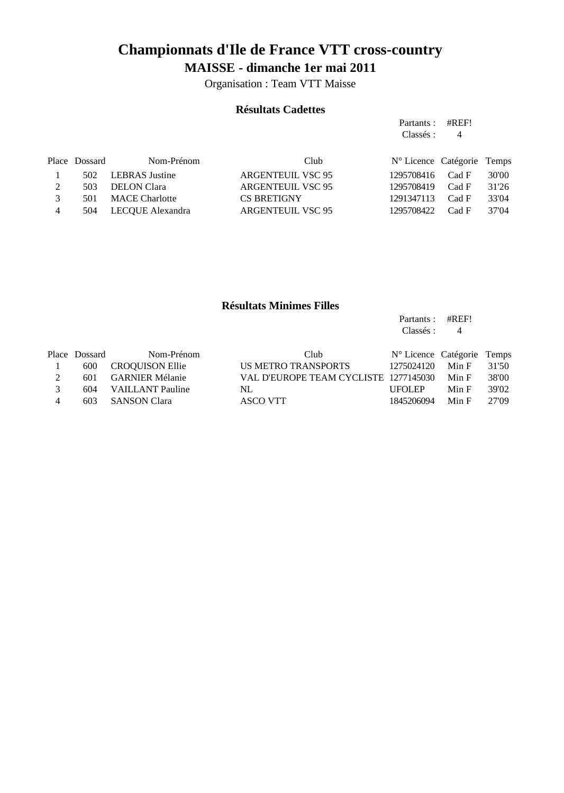Organisation : Team VTT Maisse

#### **Résultats Cadettes**

Partants : #REF!

Partants : #REF!

|     |                       |                                        |            | 4     |                                         |
|-----|-----------------------|----------------------------------------|------------|-------|-----------------------------------------|
|     | Nom-Prénom            | Club                                   |            |       |                                         |
| 502 |                       | <b>ARGENTEUIL VSC 95</b>               | 1295708416 | Cad F | 30'00                                   |
| 503 | <b>DELON</b> Clara    | <b>ARGENTEUIL VSC 95</b>               | 1295708419 | Cad F | 31'26                                   |
| 501 | <b>MACE</b> Charlotte | <b>CS BRETIGNY</b>                     | 1291347113 | Cad F | 33'04                                   |
| 504 | LECQUE Alexandra      | <b>ARGENTEUIL VSC 95</b>               | 1295708422 | Cad F | 37'04                                   |
|     |                       | Place Dossard<br><b>LEBRAS</b> Justine |            |       | Classés :<br>Nº Licence Catégorie Temps |

#### **Résultats Minimes Filles**

|   |               |                         |                                       | Classés :                  | 4     |       |
|---|---------------|-------------------------|---------------------------------------|----------------------------|-------|-------|
|   | Place Dossard | Nom-Prénom              | Club                                  | N° Licence Catégorie Temps |       |       |
|   | 600           | <b>CROQUISON Ellie</b>  | US METRO TRANSPORTS                   | 1275024120                 | Min F | 31'50 |
| 2 | 601           | <b>GARNIER Mélanie</b>  | VAL D'EUROPE TEAM CYCLISTE 1277145030 |                            | Min F | 38'00 |
|   | 604           | <b>VAILLANT</b> Pauline | NL                                    | <b>UFOLEP</b>              | Min F | 39'02 |
| 4 | 603           | <b>SANSON Clara</b>     | ASCO VTT                              | 1845206094                 | Min F | 27'09 |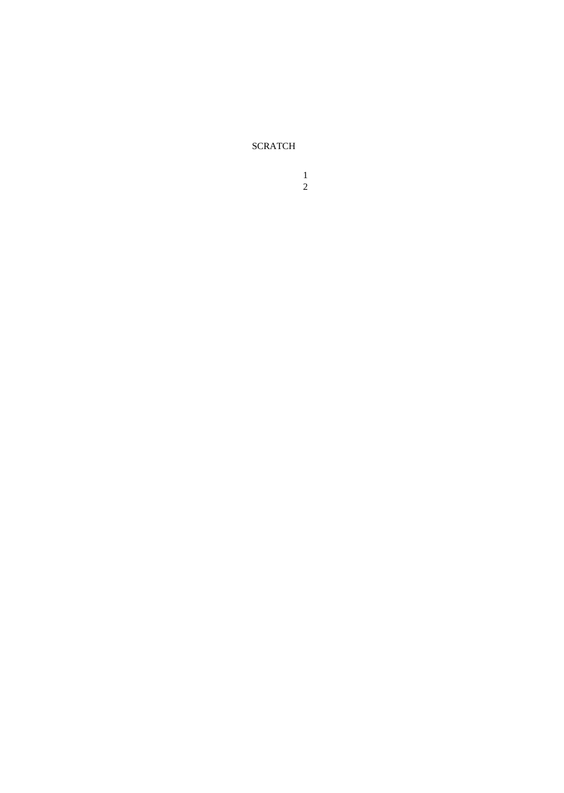SCRATCH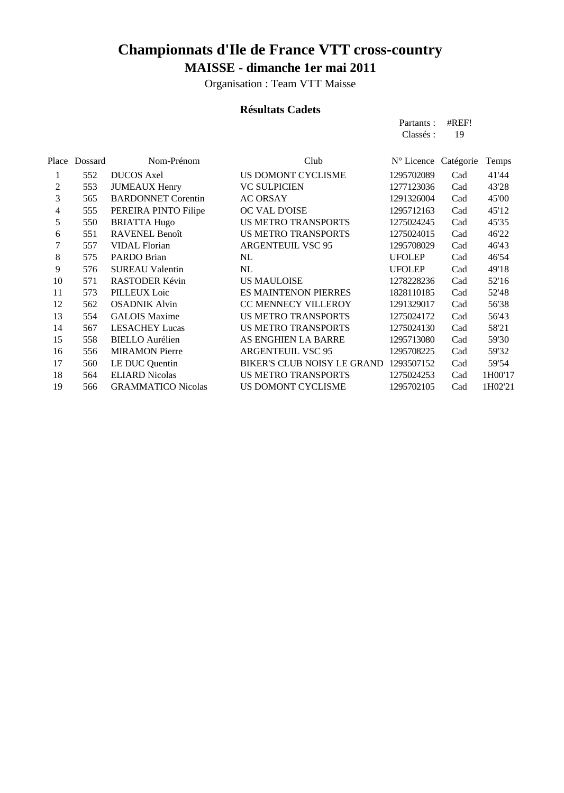Organisation : Team VTT Maisse

### **Résultats Cadets**

|       |         |                           |                             | Partants:     | #REF!     |         |
|-------|---------|---------------------------|-----------------------------|---------------|-----------|---------|
|       |         |                           |                             | Classés :     | 19        |         |
|       |         |                           |                             |               |           |         |
| Place | Dossard | Nom-Prénom                | Club                        | N° Licence    | Catégorie | Temps   |
| 1     | 552     | <b>DUCOS</b> Axel         | US DOMONT CYCLISME          | 1295702089    | Cad       | 41'44   |
| 2     | 553     | <b>JUMEAUX Henry</b>      | <b>VC SULPICIEN</b>         | 1277123036    | Cad       | 43'28   |
| 3     | 565     | <b>BARDONNET Corentin</b> | <b>AC ORSAY</b>             | 1291326004    | Cad       | 45'00   |
| 4     | 555     | PEREIRA PINTO Filipe      | OC VAL D'OISE               | 1295712163    | Cad       | 45'12   |
| 5     | 550     | <b>BRIATTA Hugo</b>       | <b>US METRO TRANSPORTS</b>  | 1275024245    | Cad       | 45'35   |
| 6     | 551     | <b>RAVENEL Benoît</b>     | <b>US METRO TRANSPORTS</b>  | 1275024015    | Cad       | 46'22   |
| 7     | 557     | <b>VIDAL Florian</b>      | <b>ARGENTEUIL VSC 95</b>    | 1295708029    | Cad       | 46'43   |
| 8     | 575     | PARDO Brian               | NL                          | <b>UFOLEP</b> | Cad       | 46'54   |
| 9     | 576     | <b>SUREAU Valentin</b>    | NL                          | <b>UFOLEP</b> | Cad       | 49'18   |
| 10    | 571     | RASTODER Kévin            | <b>US MAULOISE</b>          | 1278228236    | Cad       | 52'16   |
| 11    | 573     | PILLEUX Loic              | <b>ES MAINTENON PIERRES</b> | 1828110185    | Cad       | 52'48   |
| 12    | 562     | <b>OSADNIK Alvin</b>      | CC MENNECY VILLEROY         | 1291329017    | Cad       | 56'38   |
| 13    | 554     | <b>GALOIS Maxime</b>      | <b>US METRO TRANSPORTS</b>  | 1275024172    | Cad       | 56'43   |
| 14    | 567     | <b>LESACHEY Lucas</b>     | <b>US METRO TRANSPORTS</b>  | 1275024130    | Cad       | 58'21   |
| 15    | 558     | <b>BIELLO</b> Aurélien    | AS ENGHIEN LA BARRE         | 1295713080    | Cad       | 59'30   |
| 16    | 556     | <b>MIRAMON Pierre</b>     | <b>ARGENTEUIL VSC 95</b>    | 1295708225    | Cad       | 59'32   |
| 17    | 560     | LE DUC Quentin            | BIKER'S CLUB NOISY LE GRAND | 1293507152    | Cad       | 59'54   |
| 18    | 564     | <b>ELIARD Nicolas</b>     | <b>US METRO TRANSPORTS</b>  | 1275024253    | Cad       | 1H00'17 |
| 19    | 566     | <b>GRAMMATICO Nicolas</b> | US DOMONT CYCLISME          | 1295702105    | Cad       | 1H02'21 |
|       |         |                           |                             |               |           |         |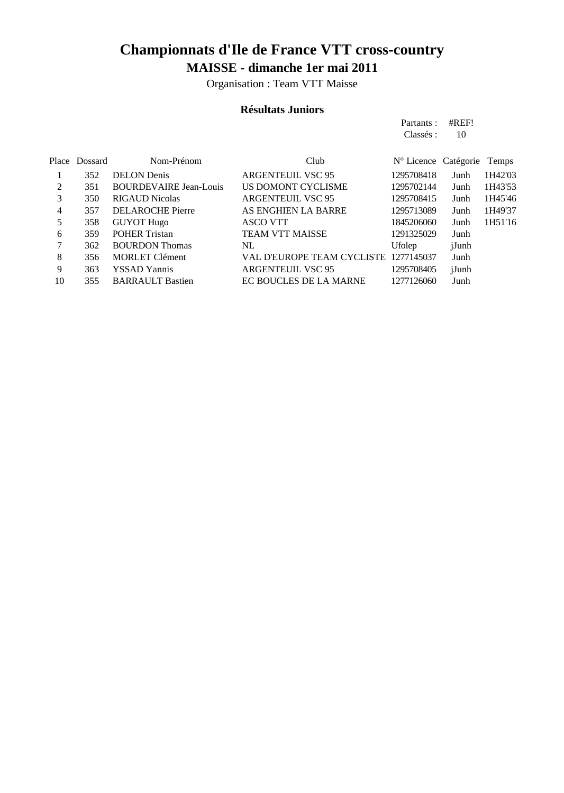Organisation : Team VTT Maisse

### **Résultats Juniors**

|       |         |                               |                                       | Partants :           | #REF! |         |
|-------|---------|-------------------------------|---------------------------------------|----------------------|-------|---------|
|       |         |                               |                                       | Classés :            | 10    |         |
| Place | Dossard | Nom-Prénom                    | Club                                  | N° Licence Catégorie |       | Temps   |
|       | 352     | <b>DELON</b> Denis            | <b>ARGENTEUIL VSC 95</b>              | 1295708418           | Junh  | 1H42'03 |
| 2     | 351     | <b>BOURDEVAIRE Jean-Louis</b> | US DOMONT CYCLISME                    | 1295702144           | Junh  | 1H43'53 |
| 3     | 350     | <b>RIGAUD Nicolas</b>         | <b>ARGENTEUIL VSC 95</b>              | 1295708415           | Junh  | 1H45'46 |
| 4     | 357     | <b>DELAROCHE</b> Pierre       | AS ENGHIEN LA BARRE                   | 1295713089           | Junh  | 1H49'37 |
| 5     | 358     | <b>GUYOT Hugo</b>             | <b>ASCO VTT</b>                       | 1845206060           | Junh  | 1H51'16 |
| 6     | 359     | <b>POHER Tristan</b>          | <b>TEAM VTT MAISSE</b>                | 1291325029           | Junh  |         |
| 7     | 362     | <b>BOURDON</b> Thomas         | NL                                    | Ufolep               | jJunh |         |
| 8     | 356     | <b>MORLET Clément</b>         | VAL D'EUROPE TEAM CYCLISTE 1277145037 |                      | Junh  |         |
| 9     | 363     | <b>YSSAD Yannis</b>           | ARGENTEUIL VSC 95                     | 1295708405           | jJunh |         |
| 10    | 355     | <b>BARRAULT Bastien</b>       | EC BOUCLES DE LA MARNE                | 1277126060           | Junh  |         |
|       |         |                               |                                       |                      |       |         |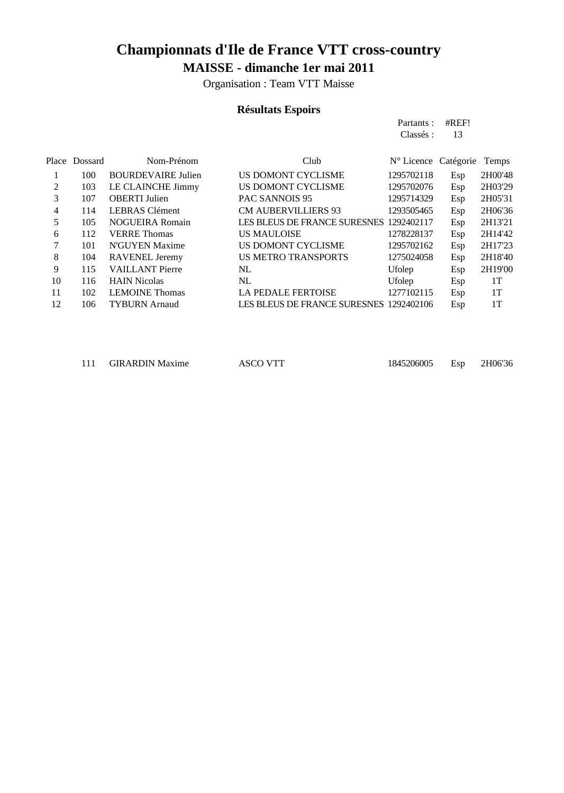Organisation : Team VTT Maisse

### **Résultats Espoirs**

|       |         |                           |                                         | Partants :                    | #REF! |         |
|-------|---------|---------------------------|-----------------------------------------|-------------------------------|-------|---------|
|       |         |                           |                                         | Classés :                     | 13    |         |
|       |         |                           |                                         |                               |       |         |
| Place | Dossard | Nom-Prénom                | Club                                    | $N^{\circ}$ Licence Catégorie |       | Temps   |
| 1     | 100     | <b>BOURDEVAIRE Julien</b> | US DOMONT CYCLISME                      | 1295702118                    | Esp   | 2H00'48 |
| 2     | 103     | LE CLAINCHE Jimmy         | US DOMONT CYCLISME                      | 1295702076                    | Esp   | 2H03'29 |
| 3     | 107     | <b>OBERTI</b> Julien      | <b>PAC SANNOIS 95</b>                   | 1295714329                    | Esp   | 2H05'31 |
| 4     | 114     | <b>LEBRAS</b> Clément     | <b>CM AUBERVILLIERS 93</b>              | 1293505465                    | Esp   | 2H06'36 |
| 5     | 105     | <b>NOGUEIRA Romain</b>    | LES BLEUS DE FRANCE SURESNES 1292402117 |                               | Esp   | 2H13'21 |
| 6     | 112     | <b>VERRE</b> Thomas       | <b>US MAULOISE</b>                      | 1278228137                    | Esp   | 2H14'42 |
| 7     | 101     | N'GUYEN Maxime            | US DOMONT CYCLISME                      | 1295702162                    | Esp   | 2H17'23 |
| 8     | 104     | <b>RAVENEL Jeremy</b>     | <b>US METRO TRANSPORTS</b>              | 1275024058                    | Esp   | 2H18'40 |
| 9     | 115     | <b>VAILLANT</b> Pierre    | NL                                      | Ufolep                        | Esp   | 2H19'00 |
| 10    | 116     | <b>HAIN Nicolas</b>       | NL                                      | Ufolep                        | Esp   | 1T      |
| 11    | 102     | <b>LEMOINE</b> Thomas     | <b>LA PEDALE FERTOISE</b>               | 1277102115                    | Esp   | 1T      |
| 12    | 106     | <b>TYBURN</b> Arnaud      | LES BLEUS DE FRANCE SURESNES 1292402106 |                               | Esp   | 1T      |
|       |         |                           |                                         |                               |       |         |

111 GIRARDIN Maxime ASCO VTT 1845206005 Esp 2H06'36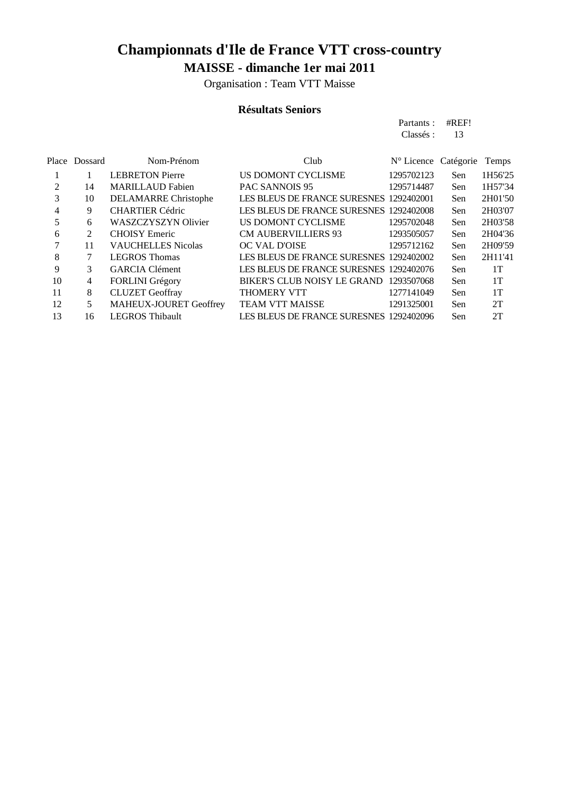Organisation : Team VTT Maisse

#### **Résultats Seniors**

|                |         |                               |                                         | Partants :           | #REF! |         |
|----------------|---------|-------------------------------|-----------------------------------------|----------------------|-------|---------|
|                |         |                               |                                         | Classés :            | 13    |         |
|                |         |                               |                                         |                      |       |         |
| Place          | Dossard | Nom-Prénom                    | Club                                    | N° Licence Catégorie |       | Temps   |
|                |         | <b>LEBRETON Pierre</b>        | US DOMONT CYCLISME                      | 1295702123           | Sen   | 1H56'25 |
| $\overline{2}$ | 14      | <b>MARILLAUD Fabien</b>       | <b>PAC SANNOIS 95</b>                   | 1295714487           | Sen   | 1H57'34 |
| 3              | 10      | DELAMARRE Christophe          | LES BLEUS DE FRANCE SURESNES 1292402001 |                      | Sen   | 2H01'50 |
| 4              | 9       | <b>CHARTIER Cédric</b>        | LES BLEUS DE FRANCE SURESNES 1292402008 |                      | Sen   | 2H03'07 |
| 5              | 6       | <b>WASZCZYSZYN Olivier</b>    | US DOMONT CYCLISME                      | 1295702048           | Sen   | 2H03'58 |
| 6              | 2       | <b>CHOISY</b> Emeric          | <b>CM AUBERVILLIERS 93</b>              | 1293505057           | Sen   | 2H04'36 |
| 7              | 11      | <b>VAUCHELLES Nicolas</b>     | OC VAL D'OISE                           | 1295712162           | Sen   | 2H09'59 |
| 8              | 7       | <b>LEGROS Thomas</b>          | LES BLEUS DE FRANCE SURESNES 1292402002 |                      | Sen   | 2H11'41 |
| 9              | 3       | <b>GARCIA Clément</b>         | LES BLEUS DE FRANCE SURESNES 1292402076 |                      | Sen   | 1T      |
| 10             | 4       | FORLINI Grégory               | BIKER'S CLUB NOISY LE GRAND             | 1293507068           | Sen   | 1T      |
| 11             | 8       | <b>CLUZET</b> Geoffray        | <b>THOMERY VTT</b>                      | 1277141049           | Sen   | 1T      |
| 12             | 5       | <b>MAHEUX-JOURET Geoffrey</b> | <b>TEAM VTT MAISSE</b>                  | 1291325001           | Sen   | 2T      |
| 13             | 16      | <b>LEGROS</b> Thibault        | LES BLEUS DE FRANCE SURESNES 1292402096 |                      | Sen   | 2T      |
|                |         |                               |                                         |                      |       |         |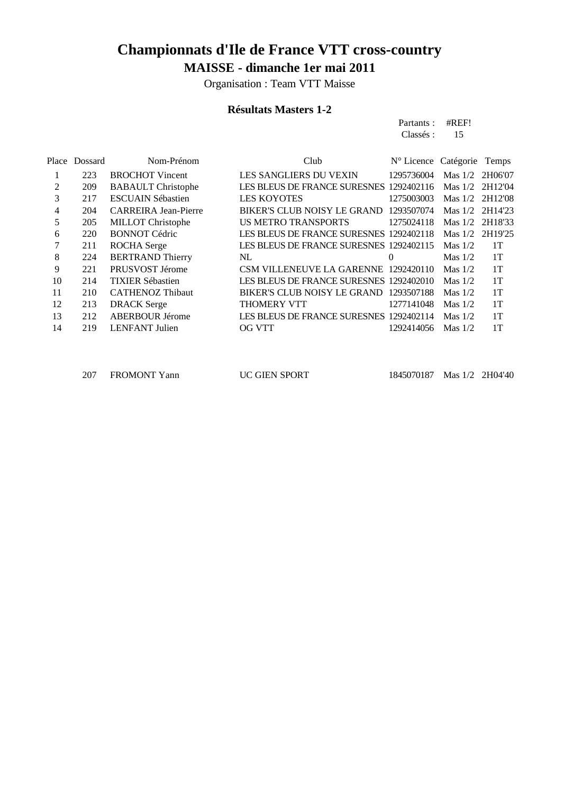Organisation : Team VTT Maisse

#### **Résultats Masters 1-2**

|       |         |                             |                                         | Partants :<br>Classés :    | #REF!<br>15 |         |
|-------|---------|-----------------------------|-----------------------------------------|----------------------------|-------------|---------|
| Place | Dossard | Nom-Prénom                  | Club                                    | N° Licence Catégorie Temps |             |         |
|       | 223     | <b>BROCHOT</b> Vincent      | LES SANGLIERS DU VEXIN                  | 1295736004                 | Mas $1/2$   | 2H06'07 |
| 2     | 209     | <b>BABAULT</b> Christophe   | LES BLEUS DE FRANCE SURESNES 1292402116 |                            | Mas $1/2$   | 2H12'04 |
| 3     | 217     | <b>ESCUAIN Sébastien</b>    | <b>LES KOYOTES</b>                      | 1275003003                 | Mas $1/2$   | 2H12'08 |
| 4     | 204     | <b>CARREIRA Jean-Pierre</b> | BIKER'S CLUB NOISY LE GRAND 1293507074  |                            | Mas $1/2$   | 2H14'23 |
| 5     | 205     | <b>MILLOT</b> Christophe    | <b>US METRO TRANSPORTS</b>              | 1275024118                 | Mas $1/2$   | 2H18'33 |
| 6     | 220     | <b>BONNOT Cédric</b>        | LES BLEUS DE FRANCE SURESNES 1292402118 |                            | Mas $1/2$   | 2H19'25 |
| 7     | 211     | <b>ROCHA</b> Serge          | LES BLEUS DE FRANCE SURESNES 1292402115 |                            | Mas $1/2$   | 1T      |
| 8     | 224     | <b>BERTRAND Thierry</b>     | NL                                      | $\Omega$                   | Mas $1/2$   | 1T      |
| 9     | 221     | PRUSVOST Jérome             | CSM VILLENEUVE LA GARENNE 1292420110    |                            | Mas $1/2$   | 1T      |
| 10    | 214     | <b>TIXIER Sébastien</b>     | LES BLEUS DE FRANCE SURESNES 1292402010 |                            | Mas $1/2$   | 1T      |
| 11    | 210     | <b>CATHENOZ Thibaut</b>     | BIKER'S CLUB NOISY LE GRAND 1293507188  |                            | Mas $1/2$   | 1T      |
| 12    | 213     | <b>DRACK</b> Serge          | <b>THOMERY VTT</b>                      | 1277141048                 | Mas $1/2$   | 1T      |
| 13    | 212     | <b>ABERBOUR Jérome</b>      | LES BLEUS DE FRANCE SURESNES 1292402114 |                            | Mas $1/2$   | 1T      |
| 14    | 219     | <b>LENFANT</b> Julien       | <b>OG VTT</b>                           | 1292414056                 | Mas $1/2$   | 1T      |
|       |         |                             |                                         |                            |             |         |

FROMONT Yann UC GIEN SPORT 1845070187 Mas 1/2 2H04'40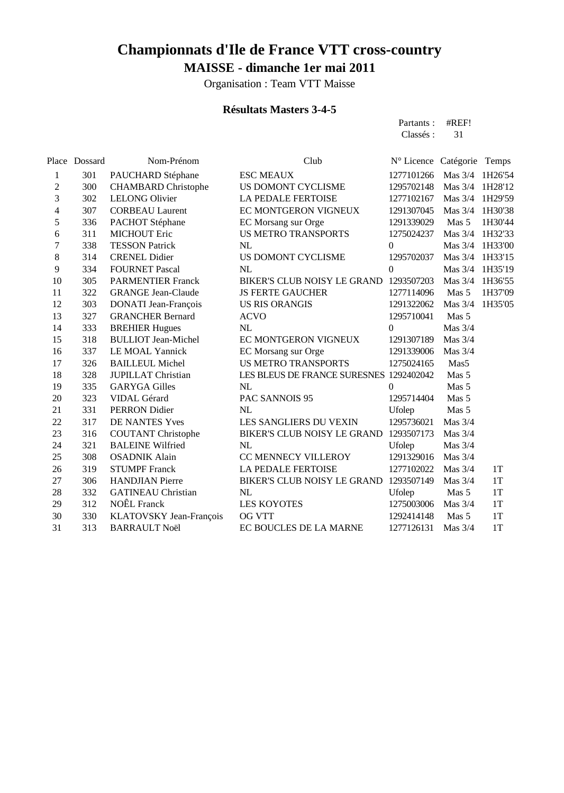Organisation : Team VTT Maisse

#### **Résultats Masters 3-4-5**

| Partants: #REF!<br>Classes : 31 |  |
|---------------------------------|--|
| $N0$ Leanan $C0$ Leaning        |  |

|                | Place Dossard | Nom-Prénom                 | Club                                    | N° Licence Catégorie |                  | Temps   |
|----------------|---------------|----------------------------|-----------------------------------------|----------------------|------------------|---------|
| 1              | 301           | PAUCHARD Stéphane          | <b>ESC MEAUX</b>                        | 1277101266           | Mas $3/4$        | 1H26'54 |
| 2              | 300           | <b>CHAMBARD</b> Christophe | US DOMONT CYCLISME                      | 1295702148           | Mas $3/4$        | 1H28'12 |
| 3              | 302           | <b>LELONG Olivier</b>      | <b>LA PEDALE FERTOISE</b>               | 1277102167           | Mas $3/4$        | 1H29'59 |
| $\overline{4}$ | 307           | <b>CORBEAU Laurent</b>     | EC MONTGERON VIGNEUX                    | 1291307045           | Mas $3/4$        | 1H30'38 |
| 5              | 336           | PACHOT Stéphane            | EC Morsang sur Orge                     | 1291339029           | Mas 5            | 1H30'44 |
| 6              | 311           | <b>MICHOUT Eric</b>        | <b>US METRO TRANSPORTS</b>              | 1275024237           | Mas $3/4$        | 1H32'33 |
| 7              | 338           | <b>TESSON Patrick</b>      | NL                                      | $\theta$             | Mas $3/4$        | 1H33'00 |
| 8              | 314           | <b>CRENEL Didier</b>       | US DOMONT CYCLISME                      | 1295702037           | Mas 3/4          | 1H33'15 |
| 9              | 334           | <b>FOURNET Pascal</b>      | NL                                      | $\Omega$             | Mas $3/4$        | 1H35'19 |
| 10             | 305           | <b>PARMENTIER Franck</b>   | BIKER'S CLUB NOISY LE GRAND             | 1293507203           | Mas $3/4$        | 1H36'55 |
| 11             | 322           | <b>GRANGE Jean-Claude</b>  | <b>JS FERTE GAUCHER</b>                 | 1277114096           | Mas 5            | 1H37'09 |
| 12             | 303           | DONATI Jean-François       | <b>US RIS ORANGIS</b>                   | 1291322062           | Mas $3/4$        | 1H35'05 |
| 13             | 327           | <b>GRANCHER Bernard</b>    | <b>ACVO</b>                             | 1295710041           | Mas <sub>5</sub> |         |
| 14             | 333           | <b>BREHIER Hugues</b>      | NL                                      | 0                    | Mas $3/4$        |         |
| 15             | 318           | <b>BULLIOT</b> Jean-Michel | EC MONTGERON VIGNEUX                    | 1291307189           | Mas $3/4$        |         |
| 16             | 337           | LE MOAL Yannick            | EC Morsang sur Orge                     | 1291339006           | Mas $3/4$        |         |
| 17             | 326           | <b>BAILLEUL Michel</b>     | <b>US METRO TRANSPORTS</b>              | 1275024165           | Mas <sub>5</sub> |         |
| 18             | 328           | <b>JUPILLAT Christian</b>  | LES BLEUS DE FRANCE SURESNES 1292402042 |                      | Mas 5            |         |
| 19             | 335           | <b>GARYGA Gilles</b>       | NL                                      | 0                    | Mas 5            |         |
| 20             | 323           | VIDAL Gérard               | PAC SANNOIS 95                          | 1295714404           | Mas 5            |         |
| 21             | 331           | PERRON Didier              | NL                                      | Ufolep               | Mas <sub>5</sub> |         |
| 22             | 317           | DE NANTES Yves             | <b>LES SANGLIERS DU VEXIN</b>           | 1295736021           | Mas $3/4$        |         |
| 23             | 316           | <b>COUTANT Christophe</b>  | BIKER'S CLUB NOISY LE GRAND             | 1293507173           | Mas $3/4$        |         |
| 24             | 321           | <b>BALEINE Wilfried</b>    | NL                                      | Ufolep               | Mas $3/4$        |         |
| 25             | 308           | <b>OSADNIK Alain</b>       | CC MENNECY VILLEROY                     | 1291329016           | Mas $3/4$        |         |
| 26             | 319           | <b>STUMPF Franck</b>       | <b>LA PEDALE FERTOISE</b>               | 1277102022           | Mas $3/4$        | 1T      |
| 27             | 306           | <b>HANDJIAN</b> Pierre     | BIKER'S CLUB NOISY LE GRAND             | 1293507149           | Mas $3/4$        | 1T      |
| 28             | 332           | <b>GATINEAU Christian</b>  | <b>NL</b>                               | Ufolep               | Mas 5            | 1T      |
| 29             | 312           | <b>NOÊL</b> Franck         | <b>LES KOYOTES</b>                      | 1275003006           | Mas 3/4          | 1T      |
| 30             | 330           | KLATOVSKY Jean-François    | <b>OG VTT</b>                           | 1292414148           | Mas 5            | 1T      |
| 31             | 313           | <b>BARRAULT Noël</b>       | EC BOUCLES DE LA MARNE                  | 1277126131           | Mas 3/4          | 1T      |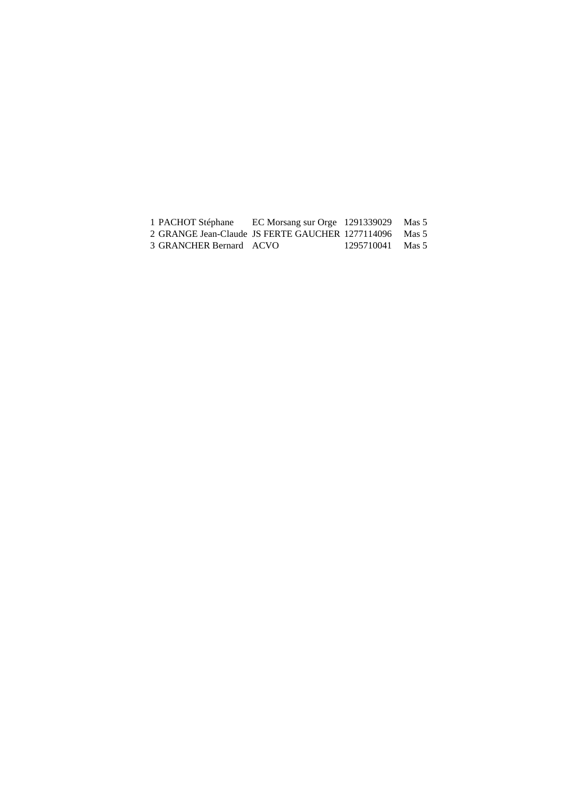| 1 PACHOT Stéphane       | EC Morsang sur Orge $1291339029$                       |            | Mas 5 |
|-------------------------|--------------------------------------------------------|------------|-------|
|                         | 2 GRANGE Jean-Claude JS FERTE GAUCHER 1277114096 Mas 5 |            |       |
| 3 GRANCHER Bernard ACVO |                                                        | 1295710041 | Mas 5 |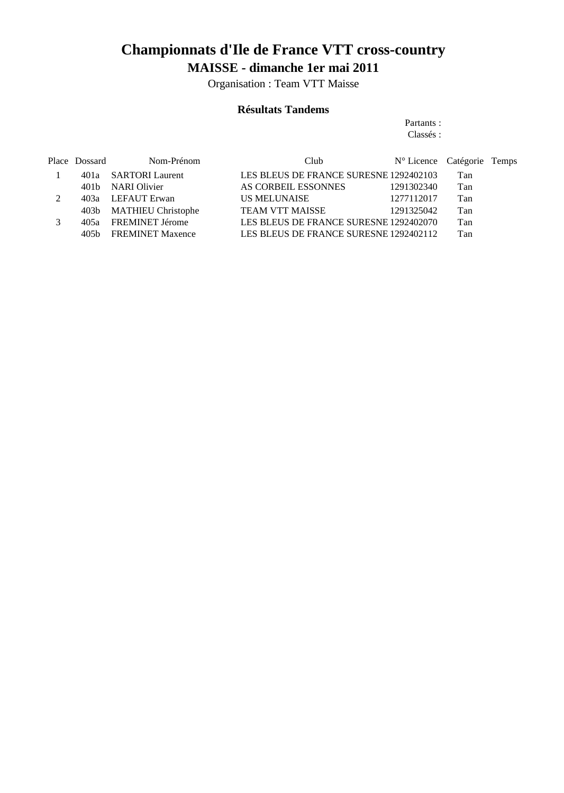Organisation : Team VTT Maisse

#### **Résultats Tandems**

#### Partants : Classés :

| Place Dossard | Nom-Prénom              | Club                                   | N° Licence Catégorie Temps |     |  |
|---------------|-------------------------|----------------------------------------|----------------------------|-----|--|
|               | 401a SARTORI Laurent    | LES BLEUS DE FRANCE SURESNE 1292402103 |                            | Tan |  |
|               | 401b NARI Olivier       | AS CORBEIL ESSONNES                    | 1291302340                 | Tan |  |
|               | 403a LEFAUT Erwan       | US MELUNAISE                           | 1277112017                 | Tan |  |
|               | 403b MATHIEU Christophe | <b>TEAM VTT MAISSE</b>                 | 1291325042                 | Tan |  |
|               | 405a FREMINET Jérome    | LES BLEUS DE FRANCE SURESNE 1292402070 |                            | Tan |  |
|               | 405b FREMINET Maxence   | LES BLEUS DE FRANCE SURESNE 1292402112 |                            | Tan |  |
|               |                         |                                        |                            |     |  |